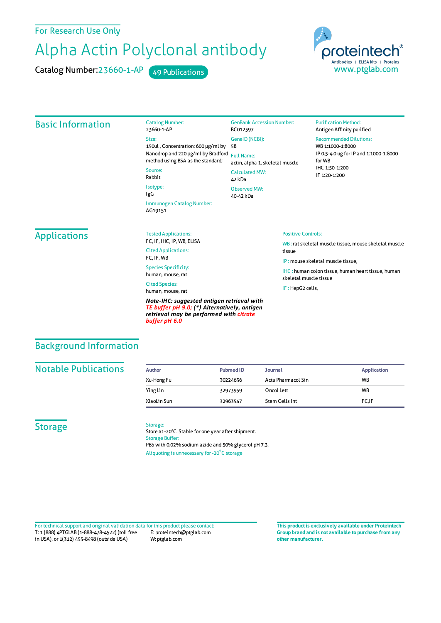#### For Research Use Only

# Alpha Actin Polyclonal antibody

Catalog Number: 23660-1-AP 49 Publications



#### Basic Information Catalog Number: 23660-1-AP Size: 150ul , Concentration: 600 μg/ml by Nanodrop and 220 μg/ml by Bradford Full Name: method using BSA as the standard; Source: Rabbit Isotype: IgG Immunogen Catalog Number: AG19151 GenBank Accession Number: BC012597 GeneID(NCBI): 58 actin, alpha 1, skeletal muscle CalculatedMW: 42 kDa Observed MW: 40-42 kDa **Purification Method:** Antigen Affinity purified Recommended Dilutions: WB 1:1000-1:8000 IP 0.5-4.0 ug forIP and 1:1000-1:8000 forWB IHC 1:50-1:200 IF 1:20-1:200 **Applications** Tested Applications: FC, IF, IHC, IP, WB, ELISA Cited Applications: FC, IF, WB Species Specificity: human, mouse, rat Cited Species: human, mouse, rat *Note-IHC: suggested antigen retrieval with TE buffer pH 9.0; (\*) Alternatively, antigen* Positive Controls: WB : rat skeletal muscle tissue, mouse skeletal muscle tissue IP : mouse skeletal muscle tissue, IHC : human colon tissue, human heart tissue, human skeletal muscle tissue IF : HepG2 cells,

## Background Information

#### **Notable Publications**

| Author      | <b>Pubmed ID</b> | <b>Journal</b>     | Application |
|-------------|------------------|--------------------|-------------|
| Xu-Hong Fu  | 30224636         | Acta Pharmacol Sin | <b>WB</b>   |
| Ying Lin    | 32973959         | Oncol Lett         | <b>WB</b>   |
| XiaoLin Sun | 32963547         | Stem Cells Int     | FC.IF       |

### **Storage**

#### Storage:

*buffer pH 6.0*

Store at -20°C. Stable for one year after shipment. Storage Buffer: PBS with 0.02% sodium azide and 50% glycerol pH 7.3. Aliquoting is unnecessary for -20<sup>°</sup>C storage

*retrieval may be performed with citrate*

T: 1 (888) 4PTGLAB (1-888-478-4522) (toll free in USA), or 1(312) 455-8498 (outside USA) E: proteintech@ptglab.com W: ptglab.com Fortechnical support and original validation data forthis product please contact: **This productis exclusively available under Proteintech**

**Group brand and is not available to purchase from any other manufacturer.**